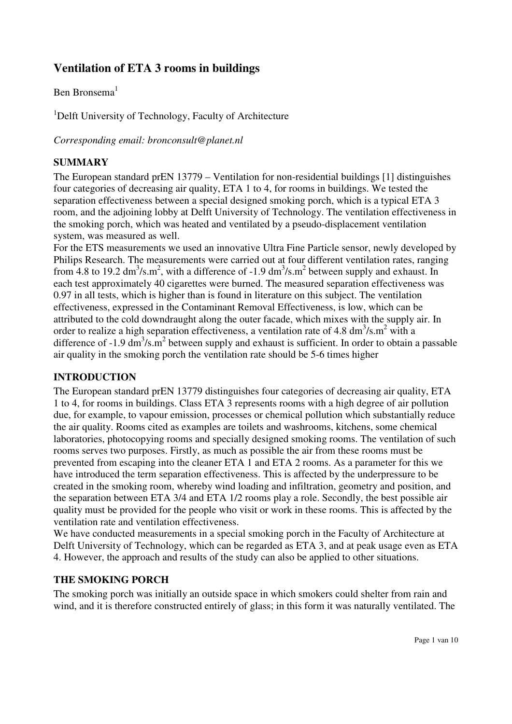# **Ventilation of ETA 3 rooms in buildings**

# Ben Bronsema $<sup>1</sup>$ </sup>

<sup>1</sup>Delft University of Technology, Faculty of Architecture

*Corresponding email: bronconsult@planet.nl* 

### **SUMMARY**

The European standard prEN 13779 – Ventilation for non-residential buildings [1] distinguishes four categories of decreasing air quality, ETA 1 to 4, for rooms in buildings. We tested the separation effectiveness between a special designed smoking porch, which is a typical ETA 3 room, and the adjoining lobby at Delft University of Technology. The ventilation effectiveness in the smoking porch, which was heated and ventilated by a pseudo-displacement ventilation system, was measured as well.

For the ETS measurements we used an innovative Ultra Fine Particle sensor, newly developed by Philips Research. The measurements were carried out at four different ventilation rates, ranging from 4.8 to 19.2 dm<sup>3</sup>/s.m<sup>2</sup>, with a difference of -1.9 dm<sup>3</sup>/s.m<sup>2</sup> between supply and exhaust. In each test approximately 40 cigarettes were burned. The measured separation effectiveness was 0.97 in all tests, which is higher than is found in literature on this subject. The ventilation effectiveness, expressed in the Contaminant Removal Effectiveness, is low, which can be attributed to the cold downdraught along the outer facade, which mixes with the supply air. In order to realize a high separation effectiveness, a ventilation rate of 4.8  $\text{dm}^3/\text{s.m}^2$  with a difference of -1.9  $\text{dm}^3/\text{s} \cdot \text{m}^2$  between supply and exhaust is sufficient. In order to obtain a passable air quality in the smoking porch the ventilation rate should be 5-6 times higher

### **INTRODUCTION**

The European standard prEN 13779 distinguishes four categories of decreasing air quality, ETA 1 to 4, for rooms in buildings. Class ETA 3 represents rooms with a high degree of air pollution due, for example, to vapour emission, processes or chemical pollution which substantially reduce the air quality. Rooms cited as examples are toilets and washrooms, kitchens, some chemical laboratories, photocopying rooms and specially designed smoking rooms. The ventilation of such rooms serves two purposes. Firstly, as much as possible the air from these rooms must be prevented from escaping into the cleaner ETA 1 and ETA 2 rooms. As a parameter for this we have introduced the term separation effectiveness. This is affected by the underpressure to be created in the smoking room, whereby wind loading and infiltration, geometry and position, and the separation between ETA 3/4 and ETA 1/2 rooms play a role. Secondly, the best possible air quality must be provided for the people who visit or work in these rooms. This is affected by the ventilation rate and ventilation effectiveness.

We have conducted measurements in a special smoking porch in the Faculty of Architecture at Delft University of Technology, which can be regarded as ETA 3, and at peak usage even as ETA 4. However, the approach and results of the study can also be applied to other situations.

### **THE SMOKING PORCH**

The smoking porch was initially an outside space in which smokers could shelter from rain and wind, and it is therefore constructed entirely of glass; in this form it was naturally ventilated. The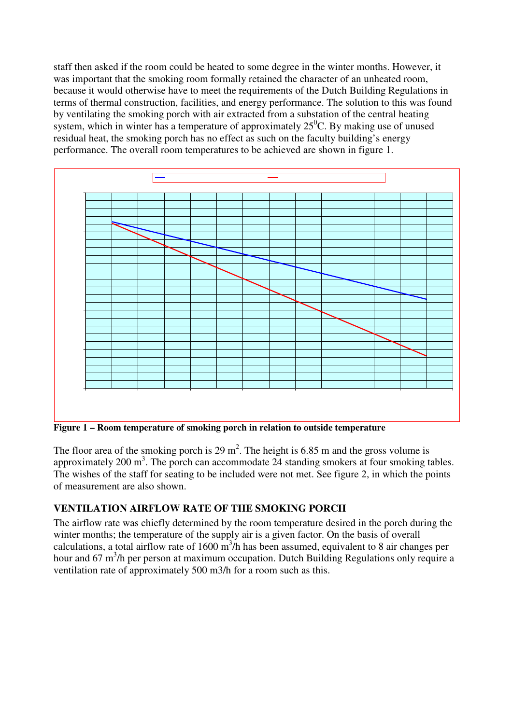staff then asked if the room could be heated to some degree in the winter months. However, it was important that the smoking room formally retained the character of an unheated room, because it would otherwise have to meet the requirements of the Dutch Building Regulations in terms of thermal construction, facilities, and energy performance. The solution to this was found by ventilating the smoking porch with air extracted from a substation of the central heating system, which in winter has a temperature of approximately  $25^{\circ}$ C. By making use of unused residual heat, the smoking porch has no effect as such on the faculty building's energy performance. The overall room temperatures to be achieved are shown in figure 1.



The floor area of the smoking porch is 29 m<sup>2</sup>. The height is 6.85 m and the gross volume is approximately 200  $\text{m}^3$ . The porch can accommodate 24 standing smokers at four smoking tables. The wishes of the staff for seating to be included were not met. See figure 2, in which the points of measurement are also shown.

# **VENTILATION AIRFLOW RATE OF THE SMOKING PORCH**

The airflow rate was chiefly determined by the room temperature desired in the porch during the winter months; the temperature of the supply air is a given factor. On the basis of overall calculations, a total airflow rate of 1600  $\overline{m}^3$ /h has been assumed, equivalent to 8 air changes per hour and 67 m<sup>3</sup>/h per person at maximum occupation. Dutch Building Regulations only require a ventilation rate of approximately 500 m3/h for a room such as this.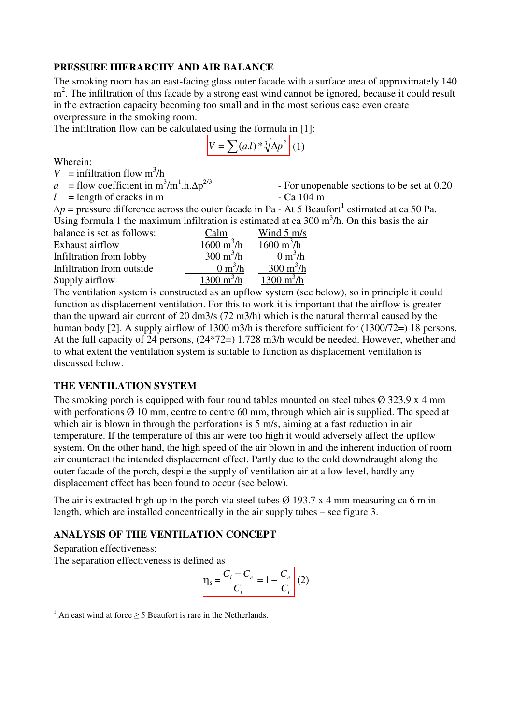#### **PRESSURE HIERARCHY AND AIR BALANCE**

The smoking room has an east-facing glass outer facade with a surface area of approximately 140 m<sup>2</sup>. The infiltration of this facade by a strong east wind cannot be ignored, because it could result in the extraction capacity becoming too small and in the most serious case even create overpressure in the smoking room.

The infiltration flow can be calculated using the formula in [1]:

$$
V = \sum (aI)^{*3} \sqrt{\Delta p^2} (1)
$$

Wherein:

 $V =$  infiltration flow  $m^3/h$ 

 $a =$  flow coefficient in m<sup>3</sup>/m<sup>1</sup>.h. $\Delta p$ 

Supply airflow  $1300 \text{ m}^3/\text{h}$ 

 $l =$  length of cracks in m  $l =$  Ca 104 m

- For unopenable sections to be set at 0.20

 $\Delta p$  = pressure difference across the outer facade in Pa - At 5 Beaufort<sup>1</sup> estimated at ca 50 Pa. Using formula 1 the maximum infiltration is estimated at ca  $300 \text{ m}^3/\text{h}$ . On this basis the air balance is set as follows: Calm Wind 5 m/s Exhaust airflow  $1600 \text{ m}^3/\text{h}$ /h  $1600 \text{ m}^3$ /h Infiltration from lobby  $300 \text{ m}^3/\text{h}$ /h  $0 \text{ m}^3$ /h Infiltration from outside  $0 \text{ m}^3/\text{h}$  $/h \frac{300 \text{ m}^3/h}{h}$  $\frac{\text{h}}{\text{h}}$  1300 m<sup>3</sup>/h

The ventilation system is constructed as an upflow system (see below), so in principle it could function as displacement ventilation. For this to work it is important that the airflow is greater than the upward air current of 20 dm3/s (72 m3/h) which is the natural thermal caused by the human body [2]. A supply airflow of 1300 m3/h is therefore sufficient for (1300/72=) 18 persons. At the full capacity of 24 persons, (24\*72=) 1.728 m3/h would be needed. However, whether and to what extent the ventilation system is suitable to function as displacement ventilation is discussed below.

### **THE VENTILATION SYSTEM**

The smoking porch is equipped with four round tables mounted on steel tubes  $\varnothing$  323.9 x 4 mm with perforations  $\varnothing$  10 mm, centre to centre 60 mm, through which air is supplied. The speed at which air is blown in through the perforations is 5 m/s, aiming at a fast reduction in air temperature. If the temperature of this air were too high it would adversely affect the upflow system. On the other hand, the high speed of the air blown in and the inherent induction of room air counteract the intended displacement effect. Partly due to the cold downdraught along the outer facade of the porch, despite the supply of ventilation air at a low level, hardly any displacement effect has been found to occur (see below).

The air is extracted high up in the porch via steel tubes  $\varnothing$  193.7 x 4 mm measuring ca 6 m in length, which are installed concentrically in the air supply tubes – see figure 3.

#### **ANALYSIS OF THE VENTILATION CONCEPT**

Separation effectiveness:

 $\overline{a}$ 

The separation effectiveness is defined as

$$
\eta_{\rm s} = \frac{C_{i} - C_{e}}{C_{i}} = 1 - \frac{C_{e}}{C_{i}} \tag{2}
$$

<sup>&</sup>lt;sup>1</sup> An east wind at force  $\geq$  5 Beaufort is rare in the Netherlands.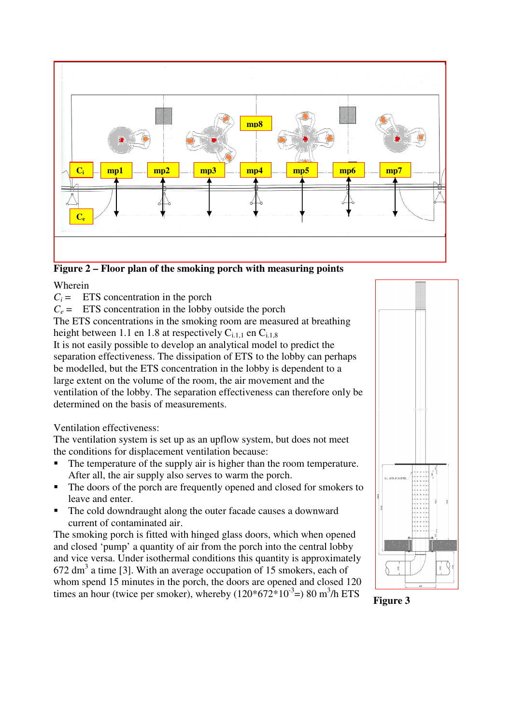

**Figure 2 – Floor plan of the smoking porch with measuring points** 

### Wherein

 $C_i$  = ETS concentration in the porch

 $C_e$  = ETS concentration in the lobby outside the porch

The ETS concentrations in the smoking room are measured at breathing height between 1.1 en 1.8 at respectively  $C_{i,1,1}$  en  $C_{i,1,8}$ 

It is not easily possible to develop an analytical model to predict the separation effectiveness. The dissipation of ETS to the lobby can perhaps be modelled, but the ETS concentration in the lobby is dependent to a large extent on the volume of the room, the air movement and the ventilation of the lobby. The separation effectiveness can therefore only be determined on the basis of measurements.

### Ventilation effectiveness:

The ventilation system is set up as an upflow system, but does not meet the conditions for displacement ventilation because:

- The temperature of the supply air is higher than the room temperature. After all, the air supply also serves to warm the porch.
- The doors of the porch are frequently opened and closed for smokers to leave and enter.
- The cold downdraught along the outer facade causes a downward current of contaminated air.

The smoking porch is fitted with hinged glass doors, which when opened and closed 'pump' a quantity of air from the porch into the central lobby and vice versa. Under isothermal conditions this quantity is approximately  $672 \text{ dm}^3$  a time [3]. With an average occupation of 15 smokers, each of whom spend 15 minutes in the porch, the doors are opened and closed 120 times an hour (twice per smoker), whereby  $(120*672*10^{-3} = 80 \text{ m}^3/\text{h}$  ETS



**Figure 3**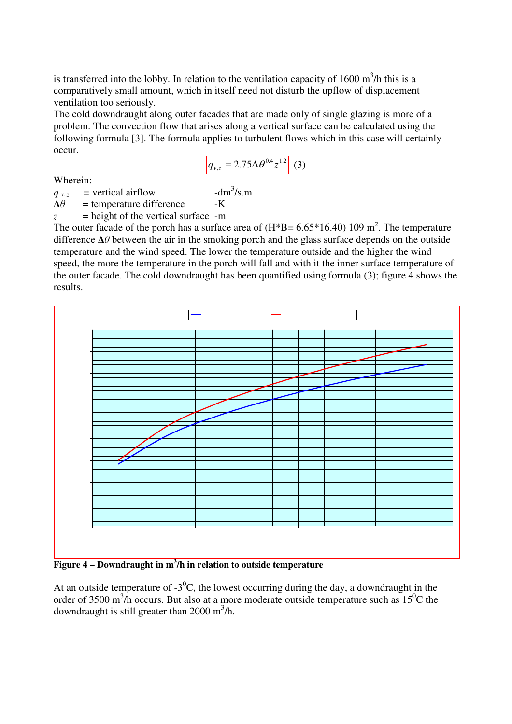is transferred into the lobby. In relation to the ventilation capacity of  $1600 \text{ m}^3/\text{h}$  this is a comparatively small amount, which in itself need not disturb the upflow of displacement ventilation too seriously.

The cold downdraught along outer facades that are made only of single glazing is more of a problem. The convection flow that arises along a vertical surface can be calculated using the following formula [3]. The formula applies to turbulent flows which in this case will certainly occur.

$$
q_{v,z} = 2.75 \Delta \theta^{0.4} z^{1.2} \qquad (3)
$$

Wherein:

 $-dm<sup>3</sup>/s.m$ 

 $\Delta\theta$  = temperature difference -K

 $q_{vz}$  = vertical airflow

*z* = height of the vertical surface -m

The outer facade of the porch has a surface area of  $(H*B = 6.65*16.40)$  109 m<sup>2</sup>. The temperature difference  $\Delta\theta$  between the air in the smoking porch and the glass surface depends on the outside temperature and the wind speed. The lower the temperature outside and the higher the wind speed, the more the temperature in the porch will fall and with it the inner surface temperature of the outer facade. The cold downdraught has been quantified using formula (3); figure 4 shows the results.



**Figure 4 – Downdraught in m<sup>3</sup> /h in relation to outside temperature** 

At an outside temperature of  $-3^{0}C$ , the lowest occurring during the day, a downdraught in the order of 3500 m<sup>3</sup>/h occurs. But also at a more moderate outside temperature such as  $15^{\circ}$ C the downdraught is still greater than  $2000 \text{ m}^3/\text{h}$ .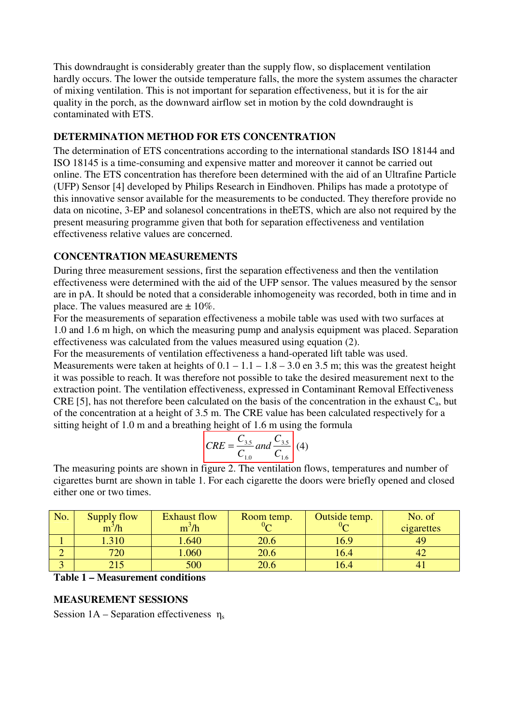This downdraught is considerably greater than the supply flow, so displacement ventilation hardly occurs. The lower the outside temperature falls, the more the system assumes the character of mixing ventilation. This is not important for separation effectiveness, but it is for the air quality in the porch, as the downward airflow set in motion by the cold downdraught is contaminated with ETS.

### **DETERMINATION METHOD FOR ETS CONCENTRATION**

The determination of ETS concentrations according to the international standards ISO 18144 and ISO 18145 is a time-consuming and expensive matter and moreover it cannot be carried out online. The ETS concentration has therefore been determined with the aid of an Ultrafine Particle (UFP) Sensor [4] developed by Philips Research in Eindhoven. Philips has made a prototype of this innovative sensor available for the measurements to be conducted. They therefore provide no data on nicotine, 3-EP and solanesol concentrations in theETS, which are also not required by the present measuring programme given that both for separation effectiveness and ventilation effectiveness relative values are concerned.

### **CONCENTRATION MEASUREMENTS**

During three measurement sessions, first the separation effectiveness and then the ventilation effectiveness were determined with the aid of the UFP sensor. The values measured by the sensor are in pA. It should be noted that a considerable inhomogeneity was recorded, both in time and in place. The values measured are  $\pm 10\%$ .

For the measurements of separation effectiveness a mobile table was used with two surfaces at 1.0 and 1.6 m high, on which the measuring pump and analysis equipment was placed. Separation effectiveness was calculated from the values measured using equation (2).

For the measurements of ventilation effectiveness a hand-operated lift table was used. Measurements were taken at heights of  $0.1 - 1.1 - 1.8 - 3.0$  en 3.5 m; this was the greatest height it was possible to reach. It was therefore not possible to take the desired measurement next to the extraction point. The ventilation effectiveness, expressed in Contaminant Removal Effectiveness CRE [5], has not therefore been calculated on the basis of the concentration in the exhaust  $C_a$ , but of the concentration at a height of 3.5 m. The CRE value has been calculated respectively for a sitting height of 1.0 m and a breathing height of 1.6 m using the formula

$$
CRE = \frac{C_{3.5}}{C_{1.0}} and \frac{C_{3.5}}{C_{1.6}} \tag{4}
$$

The measuring points are shown in figure 2. The ventilation flows, temperatures and number of cigarettes burnt are shown in table 1. For each cigarette the doors were briefly opened and closed either one or two times.

| No. | Supply flow<br>$m^3/h$ | <b>Exhaust flow</b><br>$m^3/h$ | Room temp. | Outside temp. | No. of<br>cigarettes |
|-----|------------------------|--------------------------------|------------|---------------|----------------------|
|     | 1.310                  | 1.640                          | 20.6       | 16.9          | 49                   |
|     | 720                    | 1.060                          | 20.6       | 16.4          |                      |
|     |                        | 500                            | 20.6       | .6.4          |                      |

#### **Table 1 – Measurement conditions**

### **MEASUREMENT SESSIONS**

Session  $1A$  – Separation effectiveness  $\eta_s$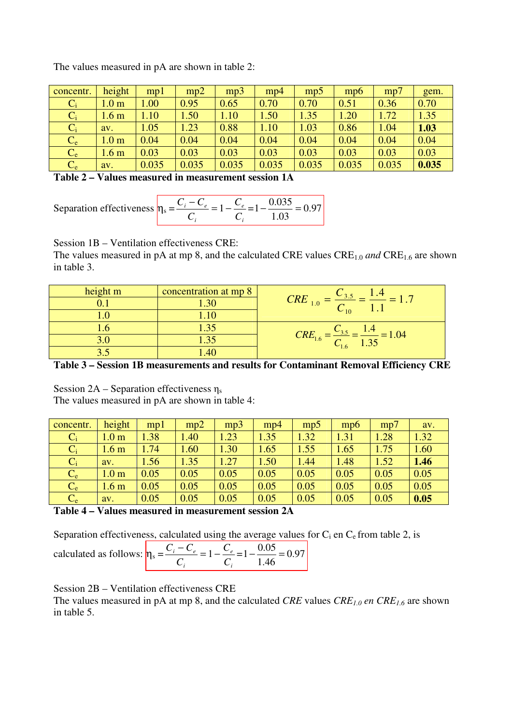The values measured in pA are shown in table 2:

| concentr. | height           | mp1   | mp2   | mp3   | mp4   | mp5   | mpb   | mp'   | gem.  |
|-----------|------------------|-------|-------|-------|-------|-------|-------|-------|-------|
| $C_i$     | 1.0 <sub>m</sub> | .00.  | 0.95  | 0.65  | 0.70  | 0.70  | 0.51  | 0.36  | 0.70  |
| $C_i$     | 1.6 <sub>m</sub> | 1.10  | 1.50  | 1.10  | 1.50  | 1.35  | 1.20  | 1.72  | 1.35  |
| $C_i$     | av.              | 1.05  | 1.23  | 0.88  | 1.10  | 1.03  | 0.86  | 1.04  | 1.03  |
| $C_e$     | 1.0 <sub>m</sub> | 0.04  | 0.04  | 0.04  | 0.04  | 0.04  | 0.04  | 0.04  | 0.04  |
| $C_e$     | 1.6 <sub>m</sub> | 0.03  | 0.03  | 0.03  | 0.03  | 0.03  | 0.03  | 0.03  | 0.03  |
| $C_e$     | av.              | 0.035 | 0.035 | 0.035 | 0.035 | 0.035 | 0.035 | 0.035 | 0.035 |

**Table 2 – Values measured in measurement session 1A**

| Separation effectiveness $n_s = \frac{C_i - C_i}{T}$ |  | $= 1 - \frac{C_e}{m} = 1 - \frac{0.035}{m} = 0.97$ |
|------------------------------------------------------|--|----------------------------------------------------|
|                                                      |  |                                                    |

Session 1B – Ventilation effectiveness CRE:

The values measured in pA at mp 8, and the calculated CRE values CRE<sub>1.0</sub> and CRE<sub>1.6</sub> are shown in table 3.

| height m | concentration at mp 8 |                                                                      |
|----------|-----------------------|----------------------------------------------------------------------|
|          |                       | <b>CRE</b><br>1.0                                                    |
|          |                       | $\sim_{10}$                                                          |
|          | 1.35                  |                                                                      |
|          |                       | $CRE_{1.6}$<br>$= 1.04$<br>$=\frac{C_{3.5}}{C_{1.6}}=\frac{1}{1.35}$ |
|          |                       | $-1.6$                                                               |

**Table 3 – Session 1B measurements and results for Contaminant Removal Efficiency CRE** 

Session  $2A$  – Separation effectiveness  $\eta_s$ The values measured in pA are shown in table 4:

| concentr. | height           | mpl  | mp2  | mp3  | mp4  | mp5  | mp6  | mp7  | av.  |
|-----------|------------------|------|------|------|------|------|------|------|------|
| $C_i$     | 1.0 <sub>m</sub> | 1.38 | .40  | 1.23 | 1.35 | 1.32 | 1.31 | 1.28 | 1.32 |
| $C_i$     | 1.6 <sub>m</sub> | 1.74 | 1.60 | 1.30 | 1.65 | 1.55 | 1.65 | 1.75 | 1.60 |
| $C_i$     | av.              | 1.56 | 1.35 | 1.27 | 1.50 | 1.44 | 1.48 | 1.52 | 1.46 |
| $C_e$     | 1.0 <sub>m</sub> | 0.05 | 0.05 | 0.05 | 0.05 | 0.05 | 0.05 | 0.05 | 0.05 |
| $C_e$     | 1.6 <sub>m</sub> | 0.05 | 0.05 | 0.05 | 0.05 | 0.05 | 0.05 | 0.05 | 0.05 |
| $C_e$     | av.              | 0.05 | 0.05 | 0.05 | 0.05 | 0.05 | 0.05 | 0.05 | 0.05 |

**Table 4 – Values measured in measurement session 2A**

Separation effectiveness, calculated using the average values for  $C_i$  en  $C_e$  from table 2, is

| calculated as follows: $n_s = \frac{C_i - C_e}{C_e} = 1 - \frac{C_e}{C_e} = 1 - \frac{0.05}{C_e} = 0.97$ |  |       |
|----------------------------------------------------------------------------------------------------------|--|-------|
|                                                                                                          |  | - 146 |

Session 2B – Ventilation effectiveness CRE

The values measured in pA at mp 8, and the calculated *CRE* values *CRE1.0 en CRE1.6* are shown in table 5.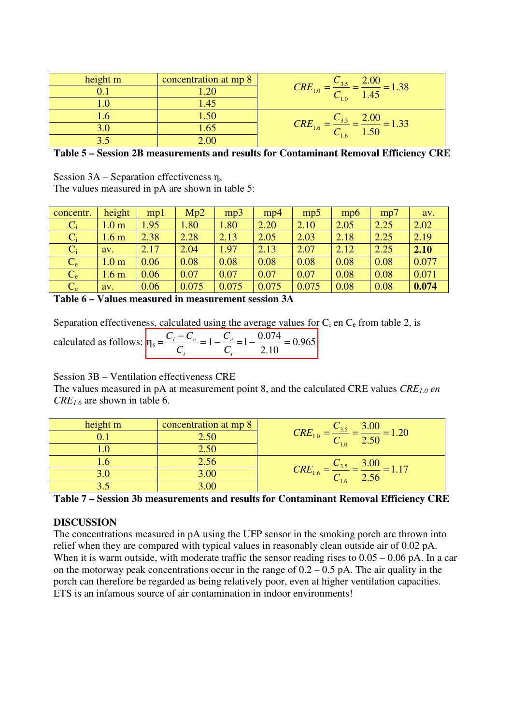| height m | concentration at mp 8 |                                                                       |
|----------|-----------------------|-----------------------------------------------------------------------|
|          |                       | $\frac{C_{3.5}}{C_{1.0}} = \frac{2.00}{1.45} = 1.38$<br>$CRE_{1.0} =$ |
|          | .45                   | $-1.0$                                                                |
|          |                       |                                                                       |
|          |                       | $= 1.33$<br>$CRE_{1.6}$                                               |
|          |                       | $-1.6$                                                                |

**Table 5 – Session 2B measurements and results for Contaminant Removal Efficiency CRE**

Session  $3A$  – Separation effectiveness  $\eta_s$ 

The values measured in pA are shown in table 5:

| concentr. | height           | mp1  | Mp2   | mp3   | mp4   | mp    | mpb  | mp7  | av.   |
|-----------|------------------|------|-------|-------|-------|-------|------|------|-------|
| $C_i$     | 1.0 <sub>m</sub> | 1.95 | 1.80  | 1.80  | 2.20  | 2.10  | 2.05 | 2.25 | 2.02  |
| $C_i$     | 1.6 <sub>m</sub> | 2.38 | 2.28  | 2.13  | 2.05  | 2.03  | 2.18 | 2.25 | 2.19  |
| $C_i$     | av.              | 2.17 | 2.04  | 1.97  | 2.13  | 2.07  | 2.12 | 2.25 | 2.10  |
| $C_e$     | 1.0 <sub>m</sub> | 0.06 | 0.08  | 0.08  | 0.08  | 0.08  | 0.08 | 0.08 | 0.077 |
| $C_e$     | 1.6 <sub>m</sub> | 0.06 | 0.07  | 0.07  | 0.07  | 0.07  | 0.08 | 0.08 | 0.071 |
| $C_e$     | av.              | 0.06 | 0.075 | 0.075 | 0.075 | 0.075 | 0.08 | 0.08 | 0.074 |

**Table 6 – Values measured in measurement session 3A**

Separation effectiveness, calculated using the average values for  $C_i$  en  $C_e$  from table 2, is

| calculated as follows: $n_s = \frac{C_i - C_e}{I} = 1 - \frac{C_e}{I} = 1 - \frac{0.074}{I} = 0.965$ |  |      |
|------------------------------------------------------------------------------------------------------|--|------|
|                                                                                                      |  | 2.10 |

Session 3B – Ventilation effectiveness CRE

The values measured in pA at measurement point 8, and the calculated CRE values *CRE1.0 en CRE1.6* are shown in table 6.

| height m | concentration at mp 8 | 3.00                                            |
|----------|-----------------------|-------------------------------------------------|
|          |                       | CRE <sub>1</sub><br>1.20<br>$C_{10}$ 2.50       |
|          | $2.50\,$              |                                                 |
|          | 4.56                  | 3.00                                            |
|          | 3.00                  | $CRE_{1.6}$<br>$\frac{2}{6}$ = $\frac{1}{2.56}$ |
|          |                       | $-1.6$                                          |

**Table 7 – Session 3b measurements and results for Contaminant Removal Efficiency CRE**

# **DISCUSSION**

The concentrations measured in pA using the UFP sensor in the smoking porch are thrown into relief when they are compared with typical values in reasonably clean outside air of 0.02 pA. When it is warm outside, with moderate traffic the sensor reading rises to  $0.05 - 0.06$  pA. In a car on the motorway peak concentrations occur in the range of  $0.2 - 0.5$  pA. The air quality in the porch can therefore be regarded as being relatively poor, even at higher ventilation capacities. ETS is an infamous source of air contamination in indoor environments!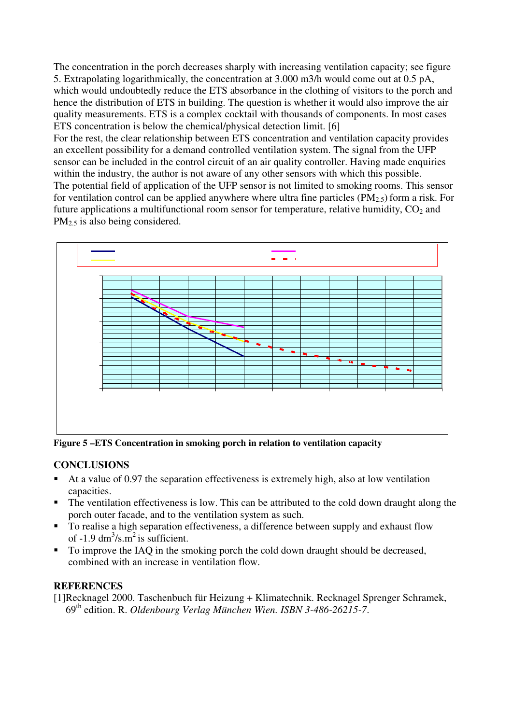The concentration in the porch decreases sharply with increasing ventilation capacity; see figure 5. Extrapolating logarithmically, the concentration at 3.000 m3/h would come out at 0.5 pA, which would undoubtedly reduce the ETS absorbance in the clothing of visitors to the porch and hence the distribution of ETS in building. The question is whether it would also improve the air quality measurements. ETS is a complex cocktail with thousands of components. In most cases ETS concentration is below the chemical/physical detection limit. [6]

For the rest, the clear relationship between ETS concentration and ventilation capacity provides an excellent possibility for a demand controlled ventilation system. The signal from the UFP sensor can be included in the control circuit of an air quality controller. Having made enquiries within the industry, the author is not aware of any other sensors with which this possible. The potential field of application of the UFP sensor is not limited to smoking rooms. This sensor for ventilation control can be applied anywhere where ultra fine particles  $(PM_{2.5})$  form a risk. For future applications a multifunctional room sensor for temperature, relative humidity,  $CO<sub>2</sub>$  and  $PM<sub>2.5</sub>$  is also being considered.



**Figure 5 –ETS Concentration in smoking porch in relation to ventilation capacity** 

# **CONCLUSIONS**

- At a value of 0.97 the separation effectiveness is extremely high, also at low ventilation capacities.
- The ventilation effectiveness is low. This can be attributed to the cold down draught along the porch outer facade, and to the ventilation system as such.
- To realise a high separation effectiveness, a difference between supply and exhaust flow of -1.9  $dm^3/s.m^2$  is sufficient.
- To improve the IAQ in the smoking porch the cold down draught should be decreased, combined with an increase in ventilation flow.

### **REFERENCES**

[1] Recknagel 2000. Taschenbuch für Heizung + Klimatechnik. Recknagel Sprenger Schramek, 69th edition. R. *Oldenbourg Verlag München Wien. ISBN 3-486-26215-7*.